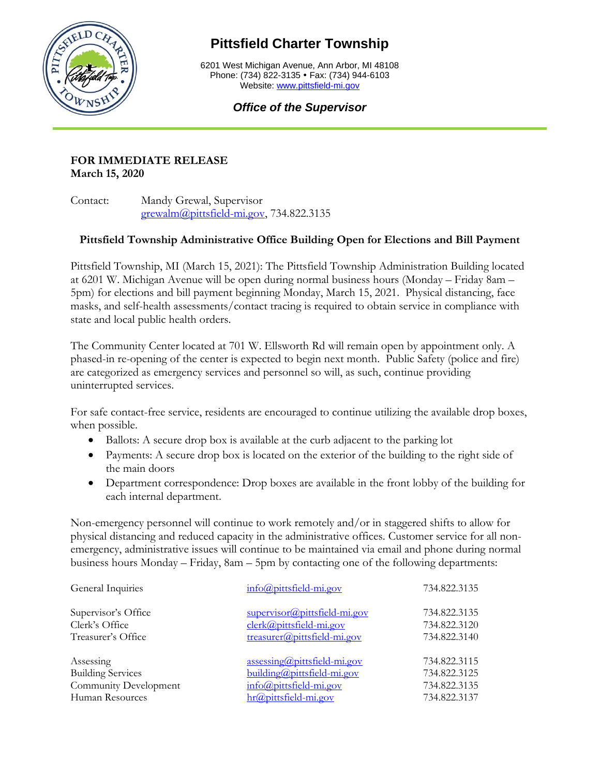

## **Pittsfield Charter Township**

6201 West Michigan Avenue, Ann Arbor, MI 48108 Phone: (734) 822-3135 • Fax: (734) 944-6103 Website: [www.pittsfield-mi.gov](http://www.pittsfield-mi.gov/)

## *Office of the Supervisor*

## **FOR IMMEDIATE RELEASE March 15, 2020**

Contact: Mandy Grewal, Supervisor [grewalm@pittsfield-mi.gov,](mailto:grewalm@pittsfield-mi.gov) 734.822.3135

## **Pittsfield Township Administrative Office Building Open for Elections and Bill Payment**

Pittsfield Township, MI (March 15, 2021): The Pittsfield Township Administration Building located at 6201 W. Michigan Avenue will be open during normal business hours (Monday – Friday 8am – 5pm) for elections and bill payment beginning Monday, March 15, 2021. Physical distancing, face masks, and self-health assessments/contact tracing is required to obtain service in compliance with state and local public health orders.

The Community Center located at 701 W. Ellsworth Rd will remain open by appointment only. A phased-in re-opening of the center is expected to begin next month. Public Safety (police and fire) are categorized as emergency services and personnel so will, as such, continue providing uninterrupted services.

For safe contact-free service, residents are encouraged to continue utilizing the available drop boxes, when possible.

- Ballots: A secure drop box is available at the curb adjacent to the parking lot
- Payments: A secure drop box is located on the exterior of the building to the right side of the main doors
- Department correspondence: Drop boxes are available in the front lobby of the building for each internal department.

Non-emergency personnel will continue to work remotely and/or in staggered shifts to allow for physical distancing and reduced capacity in the administrative offices. Customer service for all nonemergency, administrative issues will continue to be maintained via email and phone during normal business hours Monday – Friday, 8am – 5pm by contacting one of the following departments:

| General Inquiries        | info@pittsfield-mi.gov                 | 734.822.3135 |
|--------------------------|----------------------------------------|--------------|
| Supervisor's Office      | supervisor@pittsfield-mi.gov           | 734.822.3135 |
| Clerk's Office           | clerk@pittsfield-mi.gov                | 734.822.3120 |
| Treasurer's Office       | treasurer@pittsfield-mi.gov            | 734.822.3140 |
| Assessing                | $\frac{assessing(a)$ pittsfield-mi.gov | 734.822.3115 |
| <b>Building Services</b> | building@pittsfield-mi.gov             | 734.822.3125 |
| Community Development    | info@pittsfield-mi.gov                 | 734.822.3135 |
| Human Resources          | hr@pittsfield-mi.gov                   | 734.822.3137 |